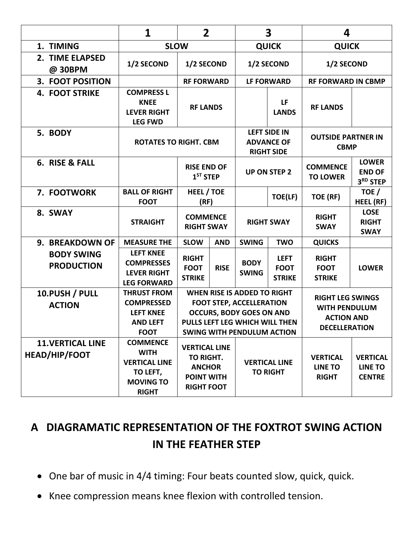|                                           | 1                                                                                                      | $\overline{2}$                                                                               |             | 3                                                                                                                                                                        |                                             | 4                                                                                            |                                                    |
|-------------------------------------------|--------------------------------------------------------------------------------------------------------|----------------------------------------------------------------------------------------------|-------------|--------------------------------------------------------------------------------------------------------------------------------------------------------------------------|---------------------------------------------|----------------------------------------------------------------------------------------------|----------------------------------------------------|
| 1. TIMING                                 | <b>SLOW</b>                                                                                            |                                                                                              |             | <b>QUICK</b>                                                                                                                                                             |                                             | <b>QUICK</b>                                                                                 |                                                    |
| 2. TIME ELAPSED<br>@ 30BPM                | 1/2 SECOND                                                                                             | 1/2 SECOND                                                                                   |             | 1/2 SECOND                                                                                                                                                               |                                             | 1/2 SECOND                                                                                   |                                                    |
| 3. FOOT POSITION                          |                                                                                                        | <b>RF FORWARD</b>                                                                            |             | <b>LF FORWARD</b>                                                                                                                                                        |                                             | <b>RF FORWARD IN CBMP</b>                                                                    |                                                    |
| <b>4. FOOT STRIKE</b>                     | <b>COMPRESS L</b><br><b>KNEE</b><br><b>LEVER RIGHT</b><br><b>LEG FWD</b>                               | <b>RF LANDS</b>                                                                              |             |                                                                                                                                                                          | LF<br><b>LANDS</b>                          | <b>RF LANDS</b>                                                                              |                                                    |
| 5. BODY                                   | <b>ROTATES TO RIGHT. CBM</b>                                                                           |                                                                                              |             | <b>LEFT SIDE IN</b><br><b>ADVANCE OF</b><br><b>RIGHT SIDE</b>                                                                                                            |                                             | <b>OUTSIDE PARTNER IN</b><br><b>CBMP</b>                                                     |                                                    |
| 6. RISE & FALL                            |                                                                                                        | <b>RISE END OF</b><br>$1ST$ STEP                                                             |             | <b>UP ON STEP 2</b>                                                                                                                                                      |                                             | <b>COMMENCE</b><br><b>TO LOWER</b>                                                           | <b>LOWER</b><br><b>END OF</b><br>3RD STEP          |
| 7. FOOTWORK                               | <b>BALL OF RIGHT</b><br><b>FOOT</b>                                                                    | <b>HEEL / TOE</b><br>(RF)                                                                    |             |                                                                                                                                                                          | TOE(LF)                                     | TOE (RF)                                                                                     | TOE/<br>HEEL (RF)                                  |
| 8. SWAY                                   | <b>STRAIGHT</b>                                                                                        | <b>COMMENCE</b><br><b>RIGHT SWAY</b>                                                         |             | <b>RIGHT SWAY</b>                                                                                                                                                        |                                             | <b>RIGHT</b><br><b>SWAY</b>                                                                  | <b>LOSE</b><br><b>RIGHT</b><br><b>SWAY</b>         |
| 9. BREAKDOWN OF                           | <b>MEASURE THE</b>                                                                                     | <b>SLOW</b>                                                                                  | <b>AND</b>  | <b>SWING</b>                                                                                                                                                             | <b>TWO</b>                                  | <b>QUICKS</b>                                                                                |                                                    |
| <b>BODY SWING</b><br><b>PRODUCTION</b>    | <b>LEFT KNEE</b><br><b>COMPRESSES</b><br><b>LEVER RIGHT</b><br><b>LEG FORWARD</b>                      | <b>RIGHT</b><br><b>FOOT</b><br><b>STRIKE</b>                                                 | <b>RISE</b> | <b>BODY</b><br><b>SWING</b>                                                                                                                                              | <b>LEFT</b><br><b>FOOT</b><br><b>STRIKE</b> | <b>RIGHT</b><br><b>FOOT</b><br><b>STRIKE</b>                                                 | <b>LOWER</b>                                       |
| 10.PUSH / PULL<br><b>ACTION</b>           | <b>THRUST FROM</b><br><b>COMPRESSED</b><br><b>LEFT KNEE</b><br><b>AND LEFT</b><br><b>FOOT</b>          |                                                                                              |             | WHEN RISE IS ADDED TO RIGHT<br><b>FOOT STEP, ACCELLERATION</b><br><b>OCCURS, BODY GOES ON AND</b><br>PULLS LEFT LEG WHICH WILL THEN<br><b>SWING WITH PENDULUM ACTION</b> |                                             | <b>RIGHT LEG SWINGS</b><br><b>WITH PENDULUM</b><br><b>ACTION AND</b><br><b>DECELLERATION</b> |                                                    |
| <b>11. VERTICAL LINE</b><br>HEAD/HIP/FOOT | <b>COMMENCE</b><br><b>WITH</b><br><b>VERTICAL LINE</b><br>TO LEFT,<br><b>MOVING TO</b><br><b>RIGHT</b> | <b>VERTICAL LINE</b><br>TO RIGHT.<br><b>ANCHOR</b><br><b>POINT WITH</b><br><b>RIGHT FOOT</b> |             | <b>VERTICAL LINE</b><br><b>TO RIGHT</b>                                                                                                                                  |                                             | <b>VERTICAL</b><br><b>LINE TO</b><br><b>RIGHT</b>                                            | <b>VERTICAL</b><br><b>LINE TO</b><br><b>CENTRE</b> |

## **A DIAGRAMATIC REPRESENTATION OF THE FOXTROT SWING ACTION IN THE FEATHER STEP**

- One bar of music in 4/4 timing: Four beats counted slow, quick, quick.
- Knee compression means knee flexion with controlled tension.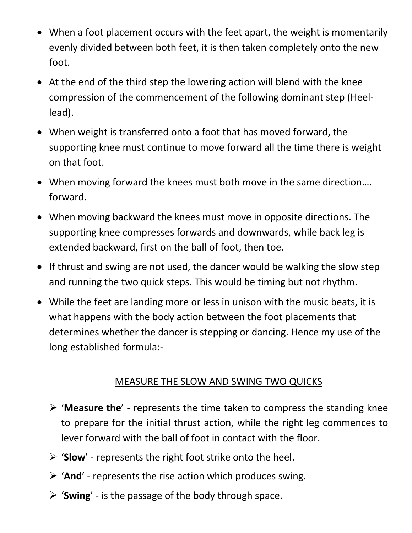- When a foot placement occurs with the feet apart, the weight is momentarily evenly divided between both feet, it is then taken completely onto the new foot.
- At the end of the third step the lowering action will blend with the knee compression of the commencement of the following dominant step (Heellead).
- When weight is transferred onto a foot that has moved forward, the supporting knee must continue to move forward all the time there is weight on that foot.
- When moving forward the knees must both move in the same direction…. forward.
- When moving backward the knees must move in opposite directions. The supporting knee compresses forwards and downwards, while back leg is extended backward, first on the ball of foot, then toe.
- If thrust and swing are not used, the dancer would be walking the slow step and running the two quick steps. This would be timing but not rhythm.
- While the feet are landing more or less in unison with the music beats, it is what happens with the body action between the foot placements that determines whether the dancer is stepping or dancing. Hence my use of the long established formula:-

## MEASURE THE SLOW AND SWING TWO QUICKS

- Ø '**Measure the**' represents the time taken to compress the standing knee to prepare for the initial thrust action, while the right leg commences to lever forward with the ball of foot in contact with the floor.
- $\triangleright$  **'Slow'** represents the right foot strike onto the heel.
- Ø '**And**' represents the rise action which produces swing.
- Ø '**Swing**' is the passage of the body through space.